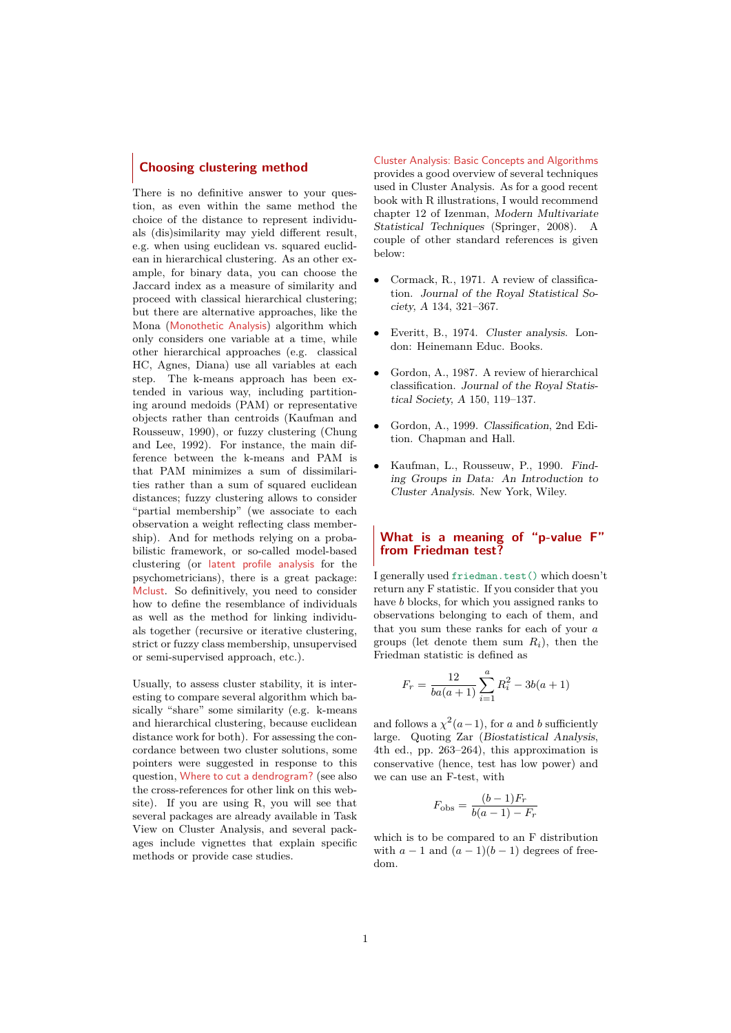# **Choosing clustering method**

There is no definitive answer to your question, as even within the same method the choice of the distance to represent individuals (dis)similarity may yield different result, e.g. when using euclidean vs. squared euclidean in hierarchical clustering. As an other example, for binary data, you can choose the Jaccard index as a measure of similarity and proceed with classical hierarchical clustering; but there are alternative approaches, like the Mona ([Monothetic Analysis](http://stat.ethz.ch/R-manual/R-devel/library/cluster/html/mona.html)) algorithm which only considers one variable at a time, while other hierarchical approaches (e.g. classical HC, Agnes, Diana) use all variables at each step. The k-means approach has been extended in various way, including partitioning around medoids (PAM) or representative objects rather than centroids (Kaufman and Rousseuw, 1990), or fuzzy clustering (Chung and Lee, 1992). For instance, the main difference between the k-means and PAM is that PAM minimizes a sum of dissimilarities rather than a sum of squared euclidean distances; fuzzy clustering allows to consider "partial membership" (we associate to each observation a weight reflecting class membership). And for methods relying on a probabilistic framework, or so-called model-based clustering (or [latent profile analysis](http://spitswww.uvt.nl/~vermunt/ermss2004f.pdf) for the psychometricians), there is a great package: [Mclust](http://www.stat.washington.edu/mclust/). So definitively, you need to consider how to define the resemblance of individuals as well as the method for linking individuals together (recursive or iterative clustering, strict or fuzzy class membership, unsupervised or semi-supervised approach, etc.).

Usually, to assess cluster stability, it is interesting to compare several algorithm which basically "share" some similarity (e.g. k-means and hierarchical clustering, because euclidean distance work for both). For assessing the concordance between two cluster solutions, some pointers were suggested in response to this question, [Where to cut a dendrogram?](http://stats.stackexchange.com/questions/3685/where-to-cut-a-dendrogram) (see also the cross-references for other link on this website). If you are using R, you will see that several packages are already available in Task View on Cluster Analysis, and several packages include vignettes that explain specific methods or provide case studies.

[Cluster Analysis: Basic Concepts and Algorithms](http://www-users.cs.umn.edu/~kumar/dmbook/ch8.pdf) provides a good overview of several techniques used in Cluster Analysis. As for a good recent book with R illustrations, I would recommend chapter 12 of Izenman, Modern Multivariate Statistical Techniques (Springer, 2008). A couple of other standard references is given below:

- Cormack, R., 1971. A review of classification. Journal of the Royal Statistical Society, A 134, 321–367.
- Everitt, B., 1974. Cluster analysis. London: Heinemann Educ. Books.
- Gordon, A., 1987. A review of hierarchical classification. Journal of the Royal Statistical Society, A 150, 119–137.
- Gordon, A., 1999. Classification, 2nd Edition. Chapman and Hall.
- Kaufman, L., Rousseuw, P., 1990. Finding Groups in Data: An Introduction to Cluster Analysis. New York, Wiley.

## **What is a meaning of "p-value F" from Friedman test?**

I generally used friedman.test() which doesn't return any F statistic. If you consider that you have *b* blocks, for which you assigned ranks to observations belonging to each of them, and that you sum these ranks for each of your *a* groups (let denote them sum  $R_i$ ), then the Friedman statistic is defined as

$$
F_r = \frac{12}{ba(a+1)} \sum_{i=1}^{a} R_i^2 - 3b(a+1)
$$

and follows a  $\chi^2(a-1)$ , for *a* and *b* sufficiently large. Quoting Zar (Biostatistical Analysis, 4th ed., pp. 263–264), this approximation is conservative (hence, test has low power) and we can use an F-test, with

$$
F_{\text{obs}} = \frac{(b-1)F_r}{b(a-1) - F_r}
$$

which is to be compared to an F distribution with  $a - 1$  and  $(a - 1)(b - 1)$  degrees of freedom.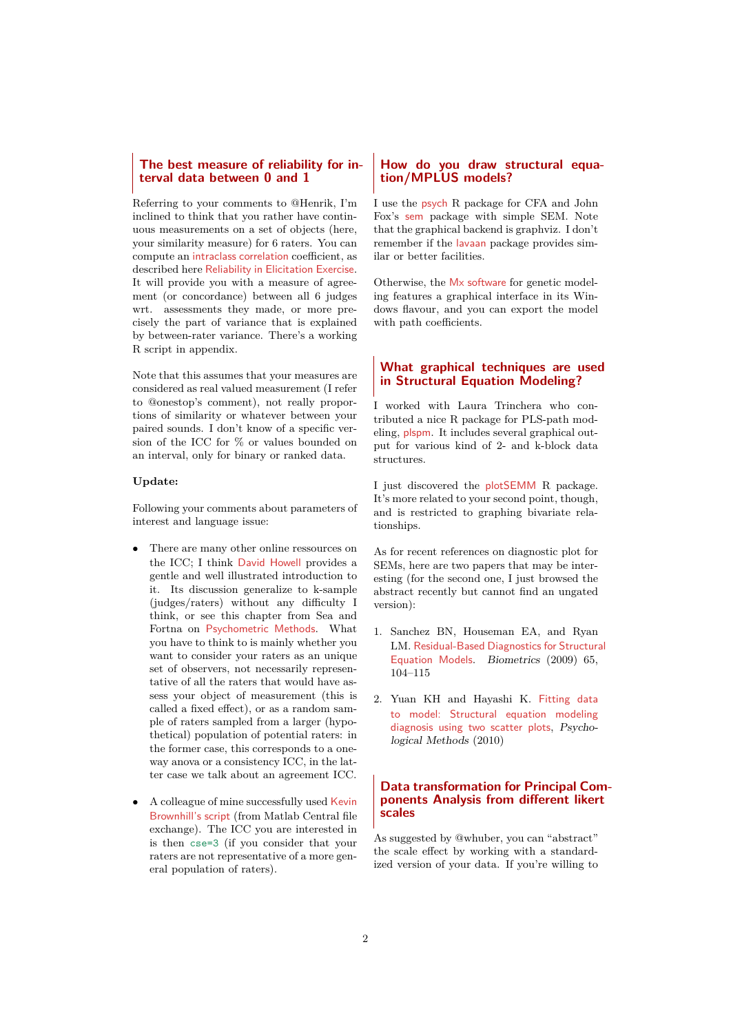# **The best measure of reliability for interval data between 0 and 1**

Referring to your comments to @Henrik, I'm inclined to think that you rather have continuous measurements on a set of objects (here, your similarity measure) for 6 raters. You can compute an [intraclass correlation](http://en.wikipedia.org/wiki/Intraclass_correlation) coefficient, as described here [Reliability in Elicitation Exercise](http://stats.stackexchange.com/questions/1015/reliability-in-elicitation-exercise/3667#3667). It will provide you with a measure of agreement (or concordance) between all 6 judges wrt. assessments they made, or more precisely the part of variance that is explained by between-rater variance. There's a working R script in appendix.

Note that this assumes that your measures are considered as real valued measurement (I refer to @onestop's comment), not really proportions of similarity or whatever between your paired sounds. I don't know of a specific version of the ICC for % or values bounded on an interval, only for binary or ranked data.

## **Update:**

Following your comments about parameters of interest and language issue:

- There are many other online ressources on the ICC; I think [David Howell](http://www.uvm.edu/~dhowell/StatPages/More_Stuff/icc/icc.html) provides a gentle and well illustrated introduction to it. Its discussion generalize to k-sample (judges/raters) without any difficulty I think, or see this chapter from Sea and Fortna on [Psychometric Methods](http://www.mebsbooks.com/cover_note/books/7/6/6/9781402004667/9781402004667-c6.pdf). What you have to think to is mainly whether you want to consider your raters as an unique set of observers, not necessarily representative of all the raters that would have assess your object of measurement (this is called a fixed effect), or as a random sample of raters sampled from a larger (hypothetical) population of potential raters: in the former case, this corresponds to a oneway anova or a consistency ICC, in the latter case we talk about an agreement ICC.
- A colleague of mine successfully used [Kevin](http://www.mathworks.co.uk/matlabcentral/fileexchange/21501-intraclass-correlation-coefficients) [Brownhill's script](http://www.mathworks.co.uk/matlabcentral/fileexchange/21501-intraclass-correlation-coefficients) (from Matlab Central file exchange). The ICC you are interested in is then cse=3 (if you consider that your raters are not representative of a more general population of raters).

# **How do you draw structural equation/MPLUS models?**

I use the [psych](http://cran.r-project.org/web/packages/psych/index.html) R package for CFA and John Fox's [sem](http://cran.r-project.org/web/packages/sem/index.html) package with simple SEM. Note that the graphical backend is graphviz. I don't remember if the [lavaan](http://lavaan.ugent.be/) package provides similar or better facilities.

Otherwise, the [Mx software](http://www.vcu.edu/mx/) for genetic modeling features a graphical interface in its Windows flavour, and you can export the model with path coefficients.

# **What graphical techniques are used in Structural Equation Modeling?**

I worked with Laura Trinchera who contributed a nice R package for PLS-path modeling, [plspm](http://cran.r-project.org/web/packages/plspm/). It includes several graphical output for various kind of 2- and k-block data structures.

I just discovered the [plotSEMM](http://www.bethanykok.com/plotSEMM.html) R package. It's more related to your second point, though, and is restricted to graphing bivariate relationships.

As for recent references on diagnostic plot for SEMs, here are two papers that may be interesting (for the second one, I just browsed the abstract recently but cannot find an ungated version):

- 1. Sanchez BN, Houseman EA, and Ryan LM. [Residual-Based Diagnostics for Structural](http://deepblue.lib.umich.edu/bitstream/2027.42/65983/1/j.1541-0420.2008.01022.x.pdf) [Equation Models](http://deepblue.lib.umich.edu/bitstream/2027.42/65983/1/j.1541-0420.2008.01022.x.pdf). Biometrics (2009) 65, 104–115
- 2. Yuan KH and Hayashi K. [Fitting data](http://www.ncbi.nlm.nih.gov/pubmed/20853955) [to model: Structural equation modeling](http://www.ncbi.nlm.nih.gov/pubmed/20853955) [diagnosis using two scatter plots](http://www.ncbi.nlm.nih.gov/pubmed/20853955), Psychological Methods (2010)

## **Data transformation for Principal Components Analysis from different likert scales**

As suggested by @whuber, you can "abstract" the scale effect by working with a standardized version of your data. If you're willing to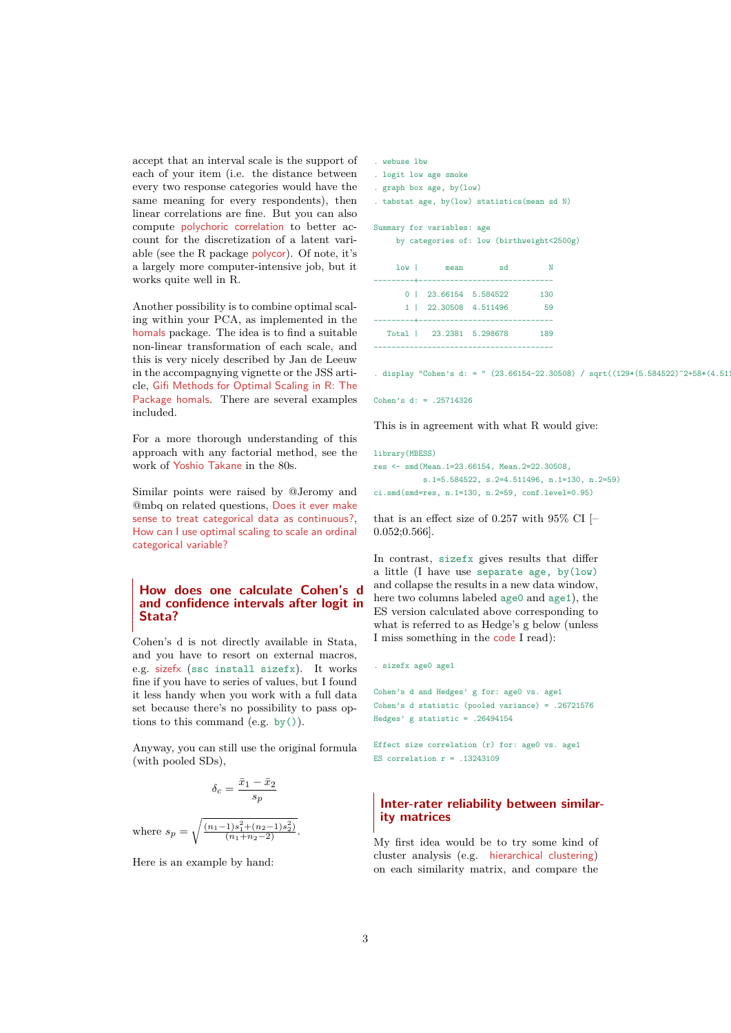accept that an interval scale is the support of each of your item (i.e. the distance between every two response categories would have the same meaning for every respondents), then linear correlations are fine. But you can also compute [polychoric correlation](http://en.wikipedia.org/wiki/Polychoric_correlation) to better account for the discretization of a latent variable (see the R package [polycor](http://cran.r-project.org/web/packages/polycor/index.html)). Of note, it's a largely more computer-intensive job, but it works quite well in R.

Another possibility is to combine optimal scaling within your PCA, as implemented in the [homals](http://cran.r-project.org/web/packages/homals/index.html) package. The idea is to find a suitable non-linear transformation of each scale, and this is very nicely described by Jan de Leeuw in the accompagnying vignette or the JSS article, [Gifi Methods for Optimal Scaling in R: The](http://www.jstatsoft.org/v31/i04/paper) [Package homals](http://www.jstatsoft.org/v31/i04/paper). There are several examples included.

For a more thorough understanding of this approach with any factorial method, see the work of [Yoshio Takane](http://takane.brinkster.net/Yoshio/) in the 80s.

Similar points were raised by @Jeromy and @mbq on related questions, [Does it ever make](http://stats.stackexchange.com/questions/539/does-it-ever-make-sense-to-treat-categorical-data-as-continuous) [sense to treat categorical data as continuous?](http://stats.stackexchange.com/questions/539/does-it-ever-make-sense-to-treat-categorical-data-as-continuous), [How can I use optimal scaling to scale an ordinal](http://stats.stackexchange.com/questions/548/how-can-i-use-optimal-scaling-to-scale-an-ordinal-categorical-variable) [categorical variable?](http://stats.stackexchange.com/questions/548/how-can-i-use-optimal-scaling-to-scale-an-ordinal-categorical-variable)

# **How does one calculate Cohen's d and confidence intervals after logit in Stata?**

Cohen's d is not directly available in Stata, and you have to resort on external macros, e.g. [sizefx](http://econpapers.repec.org/software/bocbocode/s456738.htm) (ssc install sizefx). It works fine if you have to series of values, but I found it less handy when you work with a full data set because there's no possibility to pass options to this command  $(e.g. by())$ .

Anyway, you can still use the original formula (with pooled SDs),

$$
\delta_c = \frac{\bar{x}_1 - \bar{x}_2}{s_p}
$$

where  $s_p = \sqrt{\frac{(n_1-1)s_1^2 + (n_2-1)s_2^2)}{(n_1+n_2-2)}}$ .

Here is an example by hand:

| webuse lbw |
|------------|
|            |

. logit low age smoke

. graph box age, by(low)

. tabstat age, by(low) statistics(mean sd N)

#### Summary for variables: age

by categories of: low (birthweight<2500g)

| 1ow <sub>1</sub> | mean<br>-----------------------------------    | sd |           |
|------------------|------------------------------------------------|----|-----------|
|                  | 0   23.66154 5.584522<br>1   22.30508 4.511496 |    | 130<br>59 |
|                  | Total   23.2381 5.298678                       |    | 189       |

 $\frac{d}{d}$ splay "Cohen's d: = " (23.66154-22.30508) / sqrt((129\*(5.584522)^2+58\*(4.51

```
Cohen's d: = .25714326
```
This is in agreement with what R would give:

library(MBESS) res <- smd(Mean.1=23.66154, Mean.2=22.30508, s.1=5.584522, s.2=4.511496, n.1=130, n.2=59) ci.smd(smd=res, n.1=130, n.2=59, conf.level=0.95)

that is an effect size of 0.257 with  $95\%$  CI [– 0.052;0.566].

In contrast, sizefx gives results that differ a little (I have use separate age,  $by(low)$ and collapse the results in a new data window, here two columns labeled age0 and age1), the ES version calculated above corresponding to what is referred to as Hedge's g below (unless I miss something in the [code](http://fmwww.bc.edu/repec/bocode/s/sizefx.ado) I read):

```
. sizefx age0 age1
```

```
Cohen's d and Hedges' g for: age0 vs. age1
Cohen's d statistic (pooled variance) = .26721576
Hedges' g statistic = .26494154
```
Effect size correlation (r) for: age0 vs. age1 ES correlation  $r = .13243109$ 

# **Inter-rater reliability between similarity matrices**

My first idea would be to try some kind of cluster analysis (e.g. [hierarchical clustering](http://en.wikipedia.org/wiki/Hierarchical_clustering)) on each similarity matrix, and compare the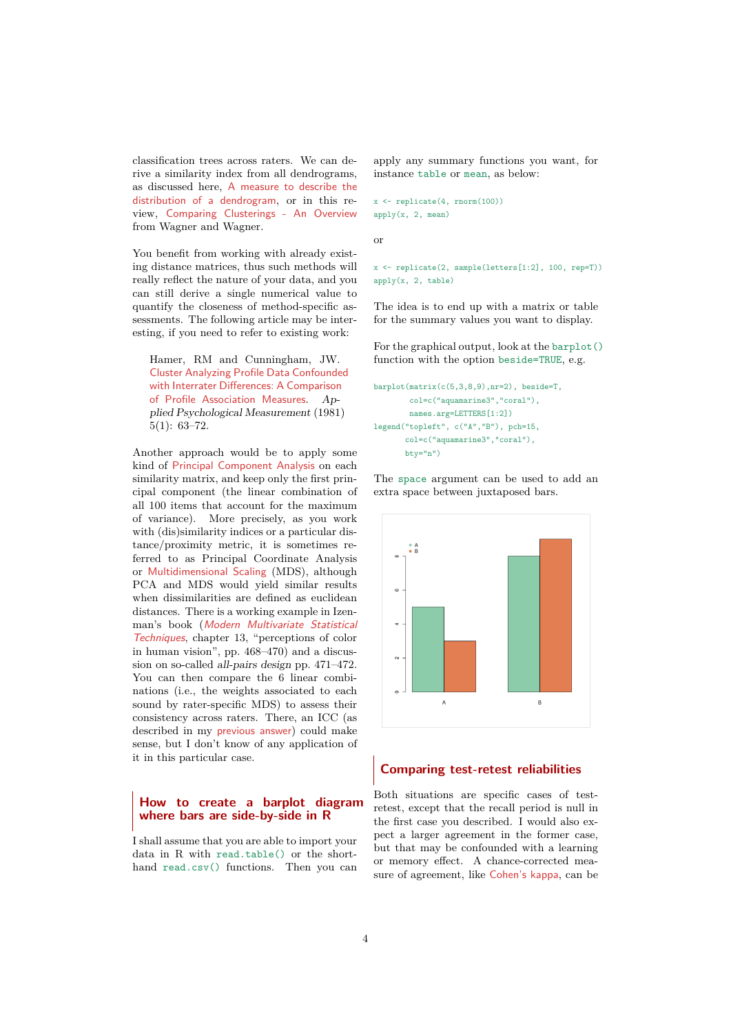classification trees across raters. We can derive a similarity index from all dendrograms, as discussed here, [A measure to describe the](http://stats.stackexchange.com/questions/3672/a-measure-to-describe-the-distribution-of-a-dendrogram) [distribution of a dendrogram](http://stats.stackexchange.com/questions/3672/a-measure-to-describe-the-distribution-of-a-dendrogram), or in this review, [Comparing Clusterings - An Overview](http://citeseerx.ist.psu.edu/viewdoc/download?doi=10.1.1.164.6189&rep=rep1&type=pdf) from Wagner and Wagner.

You benefit from working with already existing distance matrices, thus such methods will really reflect the nature of your data, and you can still derive a single numerical value to quantify the closeness of method-specific assessments. The following article may be interesting, if you need to refer to existing work:

Hamer, RM and Cunningham, JW. [Cluster Analyzing Profile Data Confounded](http://apm.sagepub.com/content/5/1/63.abstract) [with Interrater Differences: A Comparison](http://apm.sagepub.com/content/5/1/63.abstract) [of Profile Association Measures](http://apm.sagepub.com/content/5/1/63.abstract). Applied Psychological Measurement (1981) 5(1): 63–72.

Another approach would be to apply some kind of [Principal Component Analysis](http://en.wikipedia.org/wiki/Principal_component_analysis) on each similarity matrix, and keep only the first principal component (the linear combination of all 100 items that account for the maximum of variance). More precisely, as you work with (dis)similarity indices or a particular distance/proximity metric, it is sometimes referred to as Principal Coordinate Analysis or [Multidimensional Scaling](http://en.wikipedia.org/wiki/Multidimensional_scaling) (MDS), although PCA and MDS would yield similar results when dissimilarities are defined as euclidean distances. There is a working example in Izenman's book ([Modern Multivariate Statistical](http://books.google.fr/books?id=1CuznRORa3EC&printsec=frontcover&dq=modern+multivariate+statistical+techniques&source=bl&ots=Uq98CVdyIf&sig=LE3N0YX4M1dP93cvZC4cotrnsRE&hl=fr&ei=Bum_TPbhGsuO4gb7_ZiCDQ&sa=X&oi=book_result&ct=result&resnum=4&ved=0CCsQ6AEwAw) [Techniques](http://books.google.fr/books?id=1CuznRORa3EC&printsec=frontcover&dq=modern+multivariate+statistical+techniques&source=bl&ots=Uq98CVdyIf&sig=LE3N0YX4M1dP93cvZC4cotrnsRE&hl=fr&ei=Bum_TPbhGsuO4gb7_ZiCDQ&sa=X&oi=book_result&ct=result&resnum=4&ved=0CCsQ6AEwAw), chapter 13, "perceptions of color in human vision", pp. 468–470) and a discussion on so-called all-pairs design pp. 471–472. You can then compare the 6 linear combinations (i.e., the weights associated to each sound by rater-specific MDS) to assess their consistency across raters. There, an ICC (as described in my [previous answer](http://ttp://stats.stackexchange.com/questions/3762/the-best-measure-of-reliability-for-interval-data-between-0-and-1-closed)) could make sense, but I don't know of any application of it in this particular case.

# **How to create a barplot diagram where bars are side-by-side in R**

I shall assume that you are able to import your data in R with read.table() or the shorthand read.csv() functions. Then you can apply any summary functions you want, for instance table or mean, as below:

```
x \leftarrow \text{replicate}(4, \text{norm}(100))apply(x, 2, mean)
```
or

x <- replicate(2, sample(letters[1:2], 100, rep=T))  $ann|v(x, 2, \text{table})$ 

The idea is to end up with a matrix or table for the summary values you want to display.

For the graphical output, look at the barplot() function with the option beside=TRUE, e.g.

```
barplot(matrix(c(5,3,8,9),nr=2), beside=T,
        col=c("aquamarine3","coral"),
        names.arg=LETTERS[1:2])
legend("topleft", c("A","B"), pch=15,
       col=c("aquamarine3","coral"),
       bty="n")
```
The space argument can be used to add an extra space between juxtaposed bars.



## **Comparing test-retest reliabilities**

Both situations are specific cases of testretest, except that the recall period is null in the first case you described. I would also expect a larger agreement in the former case, but that may be confounded with a learning or memory effect. A chance-corrected measure of agreement, like [Cohen's kappa](http://en.wikipedia.org/wiki/Cohen), can be